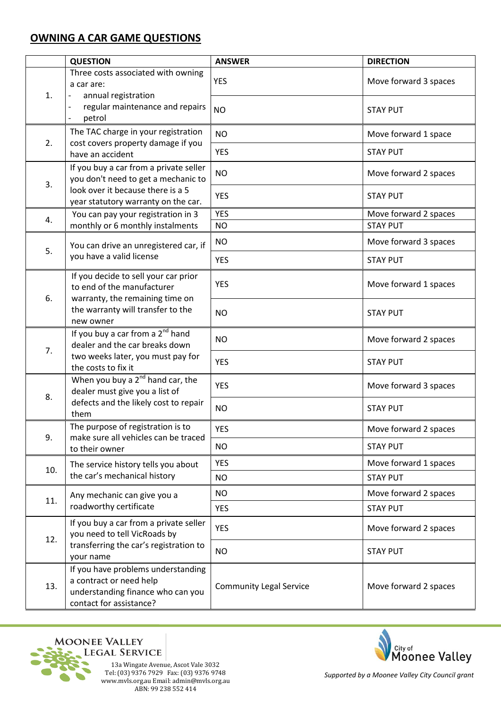## **OWNING A CAR GAME QUESTIONS**

|     | <b>QUESTION</b>                                                                                                                                         | <b>ANSWER</b>                  | <b>DIRECTION</b>      |
|-----|---------------------------------------------------------------------------------------------------------------------------------------------------------|--------------------------------|-----------------------|
| 1.  | Three costs associated with owning<br>a car are:<br>annual registration                                                                                 | <b>YES</b>                     | Move forward 3 spaces |
|     | regular maintenance and repairs<br>petrol                                                                                                               | <b>NO</b>                      | <b>STAY PUT</b>       |
|     | The TAC charge in your registration                                                                                                                     | <b>NO</b>                      | Move forward 1 space  |
| 2.  | cost covers property damage if you<br>have an accident                                                                                                  | <b>YES</b>                     | <b>STAY PUT</b>       |
| 3.  | If you buy a car from a private seller<br>you don't need to get a mechanic to                                                                           | <b>NO</b>                      | Move forward 2 spaces |
|     | look over it because there is a 5<br>year statutory warranty on the car.                                                                                | <b>YES</b>                     | <b>STAY PUT</b>       |
| 4.  | You can pay your registration in 3                                                                                                                      | <b>YES</b>                     | Move forward 2 spaces |
|     | monthly or 6 monthly instalments                                                                                                                        | <b>NO</b>                      | <b>STAY PUT</b>       |
| 5.  | You can drive an unregistered car, if<br>you have a valid license                                                                                       | <b>NO</b>                      | Move forward 3 spaces |
|     |                                                                                                                                                         | <b>YES</b>                     | <b>STAY PUT</b>       |
| 6.  | If you decide to sell your car prior<br>to end of the manufacturer<br>warranty, the remaining time on<br>the warranty will transfer to the<br>new owner | <b>YES</b>                     | Move forward 1 spaces |
|     |                                                                                                                                                         | <b>NO</b>                      | <b>STAY PUT</b>       |
| 7.  | If you buy a car from a 2 <sup>nd</sup> hand<br>dealer and the car breaks down<br>two weeks later, you must pay for<br>the costs to fix it              | <b>NO</b>                      | Move forward 2 spaces |
|     |                                                                                                                                                         | <b>YES</b>                     | <b>STAY PUT</b>       |
| 8.  | When you buy a 2 <sup>nd</sup> hand car, the<br>dealer must give you a list of<br>defects and the likely cost to repair<br>them                         | <b>YES</b>                     | Move forward 3 spaces |
|     |                                                                                                                                                         | <b>NO</b>                      | <b>STAY PUT</b>       |
| 9.  | The purpose of registration is to<br>make sure all vehicles can be traced<br>to their owner                                                             | <b>YES</b>                     | Move forward 2 spaces |
|     |                                                                                                                                                         | NO                             | <b>STAY PUT</b>       |
| 10. | The service history tells you about                                                                                                                     | <b>YES</b>                     | Move forward 1 spaces |
|     | the car's mechanical history                                                                                                                            | NO                             | <b>STAY PUT</b>       |
| 11. | Any mechanic can give you a<br>roadworthy certificate                                                                                                   | NO                             | Move forward 2 spaces |
|     |                                                                                                                                                         | <b>YES</b>                     | <b>STAY PUT</b>       |
| 12. | If you buy a car from a private seller<br>you need to tell VicRoads by<br>transferring the car's registration to<br>your name                           | <b>YES</b>                     | Move forward 2 spaces |
|     |                                                                                                                                                         | <b>NO</b>                      | <b>STAY PUT</b>       |
| 13. | If you have problems understanding<br>a contract or need help<br>understanding finance who can you<br>contact for assistance?                           | <b>Community Legal Service</b> | Move forward 2 spaces |





*Supported by a Moonee Valley City Council grant*